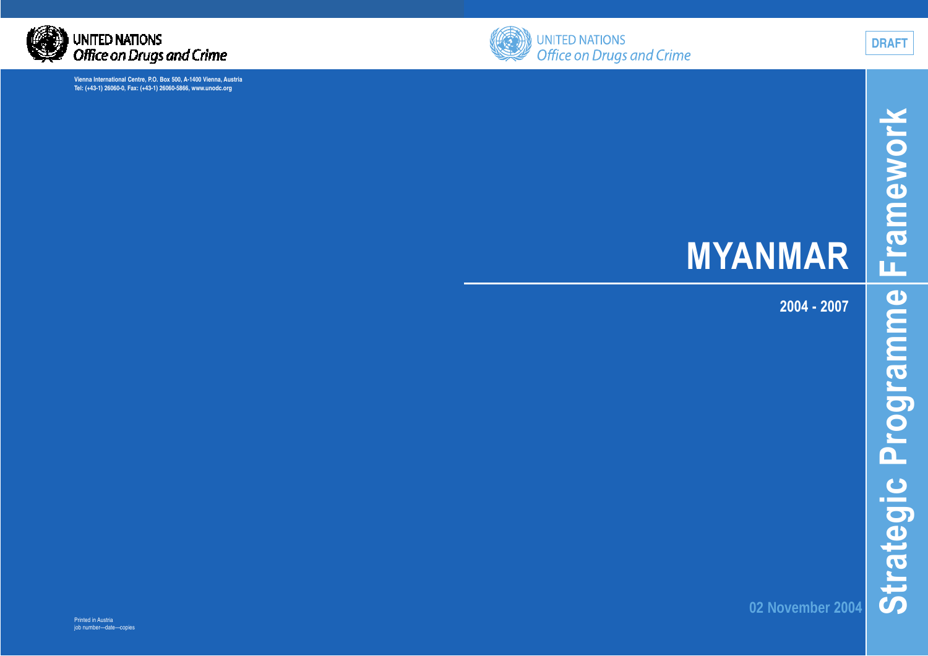



**DRAFT**

# **MYANMAR**

**2004 - 2007**

**02 November 2004**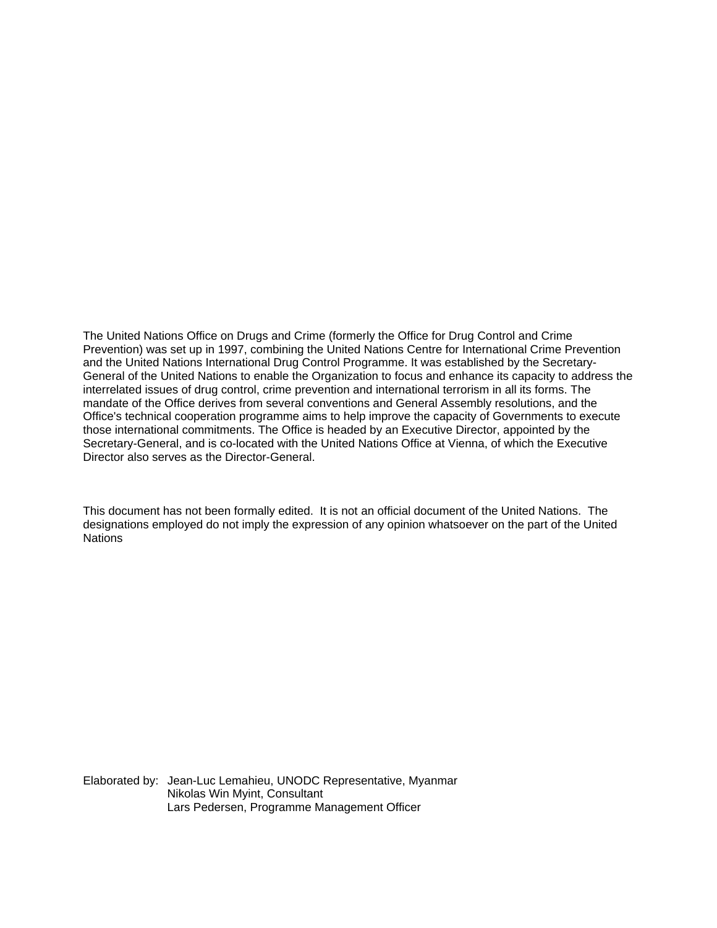The United Nations Office on Drugs and Crime (formerly the Office for Drug Control and Crime Prevention) was set up in 1997, combining the United Nations Centre for International Crime Prevention and the United Nations International Drug Control Programme. It was established by the Secretary-General of the United Nations to enable the Organization to focus and enhance its capacity to address the interrelated issues of drug control, crime prevention and international terrorism in all its forms. The mandate of the Office derives from several conventions and General Assembly resolutions, and the Office's technical cooperation programme aims to help improve the capacity of Governments to execute those international commitments. The Office is headed by an Executive Director, appointed by the Secretary-General, and is co-located with the United Nations Office at Vienna, of which the Executive Director also serves as the Director-General.

This document has not been formally edited. It is not an official document of the United Nations. The designations employed do not imply the expression of any opinion whatsoever on the part of the United **Nations** 

Elaborated by: Jean-Luc Lemahieu, UNODC Representative, Myanmar Nikolas Win Myint, Consultant Lars Pedersen, Programme Management Officer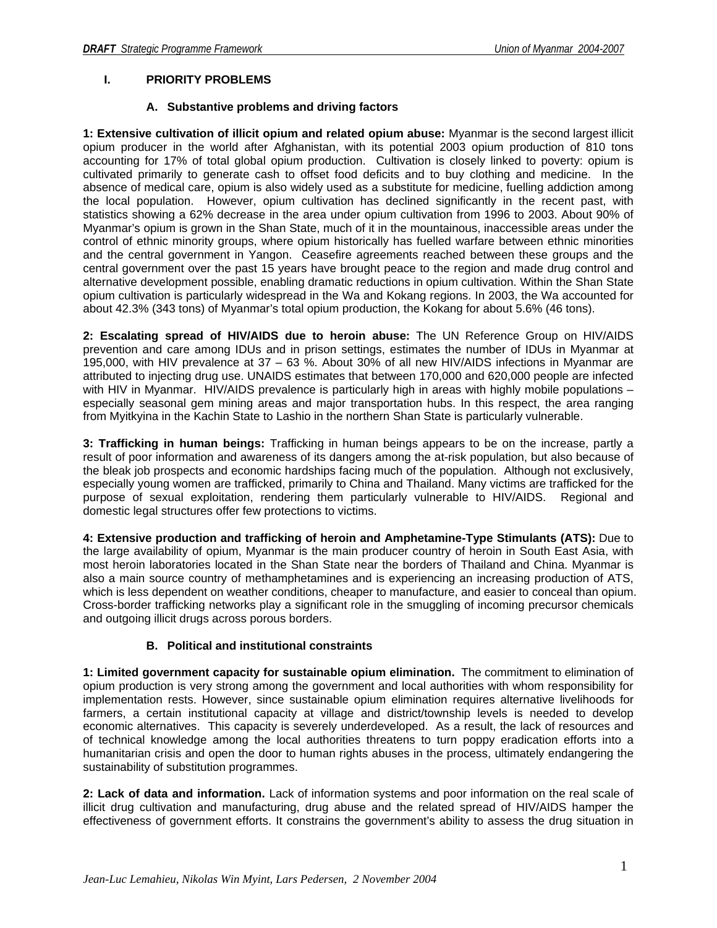# **I. PRIORITY PROBLEMS**

# **A. Substantive problems and driving factors**

**1: Extensive cultivation of illicit opium and related opium abuse:** Myanmar is the second largest illicit opium producer in the world after Afghanistan, with its potential 2003 opium production of 810 tons accounting for 17% of total global opium production. Cultivation is closely linked to poverty: opium is cultivated primarily to generate cash to offset food deficits and to buy clothing and medicine. In the absence of medical care, opium is also widely used as a substitute for medicine, fuelling addiction among the local population. However, opium cultivation has declined significantly in the recent past, with statistics showing a 62% decrease in the area under opium cultivation from 1996 to 2003. About 90% of Myanmar's opium is grown in the Shan State, much of it in the mountainous, inaccessible areas under the control of ethnic minority groups, where opium historically has fuelled warfare between ethnic minorities and the central government in Yangon. Ceasefire agreements reached between these groups and the central government over the past 15 years have brought peace to the region and made drug control and alternative development possible, enabling dramatic reductions in opium cultivation. Within the Shan State opium cultivation is particularly widespread in the Wa and Kokang regions. In 2003, the Wa accounted for about 42.3% (343 tons) of Myanmar's total opium production, the Kokang for about 5.6% (46 tons).

**2: Escalating spread of HIV/AIDS due to heroin abuse:** The UN Reference Group on HIV/AIDS prevention and care among IDUs and in prison settings, estimates the number of IDUs in Myanmar at 195,000, with HIV prevalence at 37 – 63 %. About 30% of all new HIV/AIDS infections in Myanmar are attributed to injecting drug use. UNAIDS estimates that between 170,000 and 620,000 people are infected with HIV in Myanmar. HIV/AIDS prevalence is particularly high in areas with highly mobile populations – especially seasonal gem mining areas and major transportation hubs. In this respect, the area ranging from Myitkyina in the Kachin State to Lashio in the northern Shan State is particularly vulnerable.

**3: Trafficking in human beings:** Trafficking in human beings appears to be on the increase, partly a result of poor information and awareness of its dangers among the at-risk population, but also because of the bleak job prospects and economic hardships facing much of the population. Although not exclusively, especially young women are trafficked, primarily to China and Thailand. Many victims are trafficked for the purpose of sexual exploitation, rendering them particularly vulnerable to HIV/AIDS. Regional and domestic legal structures offer few protections to victims.

**4: Extensive production and trafficking of heroin and Amphetamine-Type Stimulants (ATS):** Due to the large availability of opium, Myanmar is the main producer country of heroin in South East Asia, with most heroin laboratories located in the Shan State near the borders of Thailand and China. Myanmar is also a main source country of methamphetamines and is experiencing an increasing production of ATS, which is less dependent on weather conditions, cheaper to manufacture, and easier to conceal than opium. Cross-border trafficking networks play a significant role in the smuggling of incoming precursor chemicals and outgoing illicit drugs across porous borders.

# **B. Political and institutional constraints**

**1: Limited government capacity for sustainable opium elimination.** The commitment to elimination of opium production is very strong among the government and local authorities with whom responsibility for implementation rests. However, since sustainable opium elimination requires alternative livelihoods for farmers, a certain institutional capacity at village and district/township levels is needed to develop economic alternatives. This capacity is severely underdeveloped. As a result, the lack of resources and of technical knowledge among the local authorities threatens to turn poppy eradication efforts into a humanitarian crisis and open the door to human rights abuses in the process, ultimately endangering the sustainability of substitution programmes.

**2: Lack of data and information.** Lack of information systems and poor information on the real scale of illicit drug cultivation and manufacturing, drug abuse and the related spread of HIV/AIDS hamper the effectiveness of government efforts. It constrains the government's ability to assess the drug situation in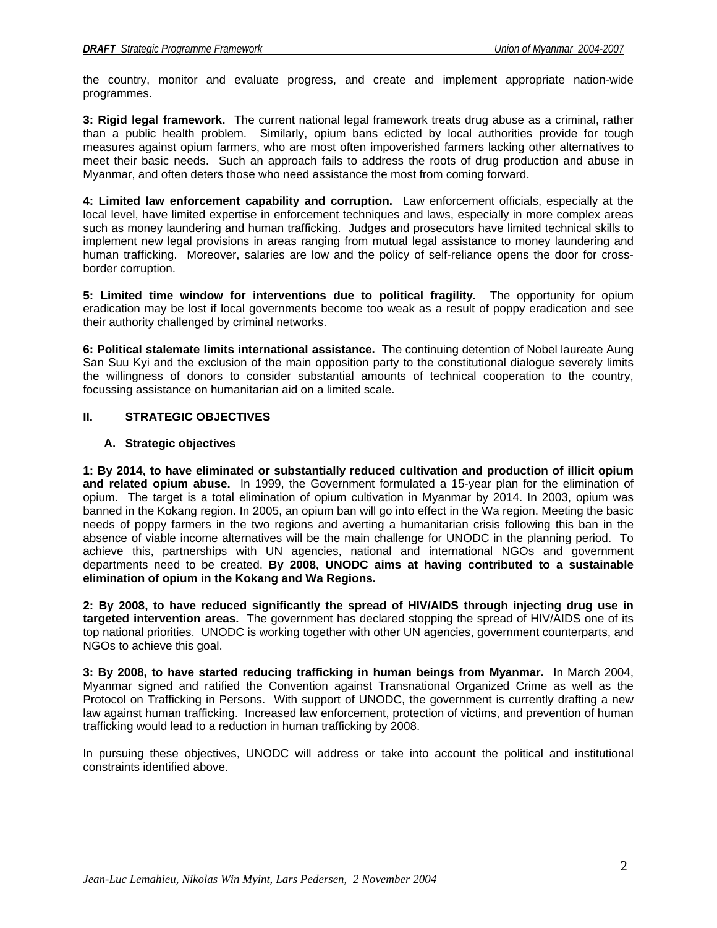the country, monitor and evaluate progress, and create and implement appropriate nation-wide programmes.

**3: Rigid legal framework.** The current national legal framework treats drug abuse as a criminal, rather than a public health problem. Similarly, opium bans edicted by local authorities provide for tough measures against opium farmers, who are most often impoverished farmers lacking other alternatives to meet their basic needs. Such an approach fails to address the roots of drug production and abuse in Myanmar, and often deters those who need assistance the most from coming forward.

**4: Limited law enforcement capability and corruption.** Law enforcement officials, especially at the local level, have limited expertise in enforcement techniques and laws, especially in more complex areas such as money laundering and human trafficking. Judges and prosecutors have limited technical skills to implement new legal provisions in areas ranging from mutual legal assistance to money laundering and human trafficking. Moreover, salaries are low and the policy of self-reliance opens the door for crossborder corruption.

**5: Limited time window for interventions due to political fragility.** The opportunity for opium eradication may be lost if local governments become too weak as a result of poppy eradication and see their authority challenged by criminal networks.

**6: Political stalemate limits international assistance.** The continuing detention of Nobel laureate Aung San Suu Kyi and the exclusion of the main opposition party to the constitutional dialogue severely limits the willingness of donors to consider substantial amounts of technical cooperation to the country, focussing assistance on humanitarian aid on a limited scale.

# **II. STRATEGIC OBJECTIVES**

## **A. Strategic objectives**

**1: By 2014, to have eliminated or substantially reduced cultivation and production of illicit opium and related opium abuse.** In 1999, the Government formulated a 15-year plan for the elimination of opium. The target is a total elimination of opium cultivation in Myanmar by 2014. In 2003, opium was banned in the Kokang region. In 2005, an opium ban will go into effect in the Wa region. Meeting the basic needs of poppy farmers in the two regions and averting a humanitarian crisis following this ban in the absence of viable income alternatives will be the main challenge for UNODC in the planning period. To achieve this, partnerships with UN agencies, national and international NGOs and government departments need to be created. **By 2008, UNODC aims at having contributed to a sustainable elimination of opium in the Kokang and Wa Regions.**

**2: By 2008, to have reduced significantly the spread of HIV/AIDS through injecting drug use in targeted intervention areas.** The government has declared stopping the spread of HIV/AIDS one of its top national priorities. UNODC is working together with other UN agencies, government counterparts, and NGOs to achieve this goal.

**3: By 2008, to have started reducing trafficking in human beings from Myanmar.** In March 2004, Myanmar signed and ratified the Convention against Transnational Organized Crime as well as the Protocol on Trafficking in Persons. With support of UNODC, the government is currently drafting a new law against human trafficking. Increased law enforcement, protection of victims, and prevention of human trafficking would lead to a reduction in human trafficking by 2008.

In pursuing these objectives, UNODC will address or take into account the political and institutional constraints identified above.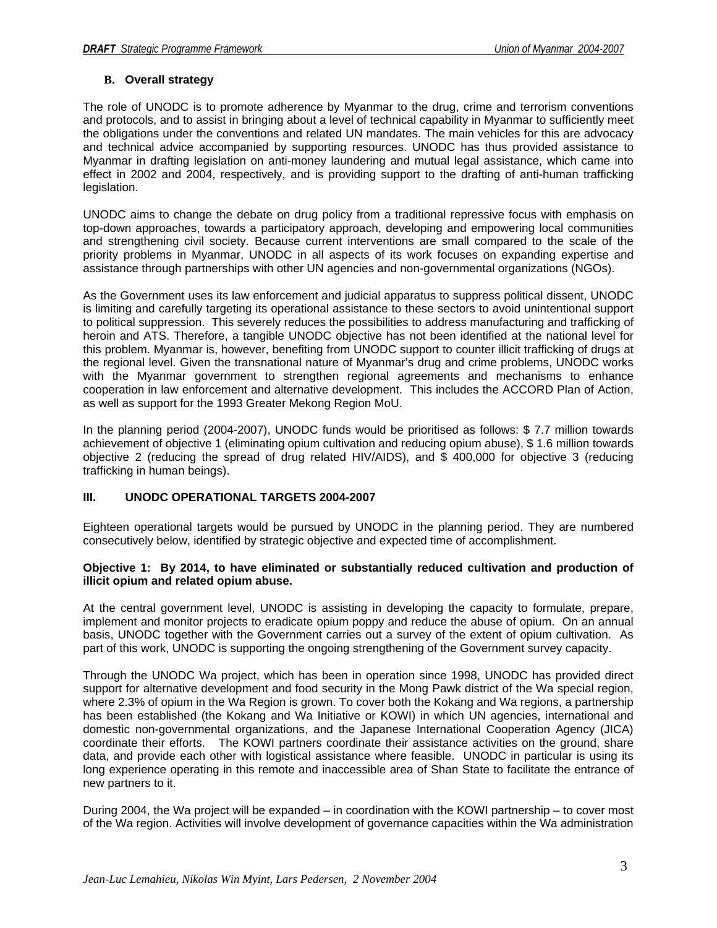# **B. Overall strategy**

The role of UNODC is to promote adherence by Myanmar to the drug, crime and terrorism conventions and protocols, and to assist in bringing about a level of technical capability in Myanmar to sufficiently meet the obligations under the conventions and related UN mandates. The main vehicles for this are advocacy and technical advice accompanied by supporting resources. UNODC has thus provided assistance to Myanmar in drafting legislation on anti-money laundering and mutual legal assistance, which came into effect in 2002 and 2004, respectively, and is providing support to the drafting of anti-human trafficking legislation.

UNODC aims to change the debate on drug policy from a traditional repressive focus with emphasis on top-down approaches, towards a participatory approach, developing and empowering local communities and strengthening civil society. Because current interventions are small compared to the scale of the priority problems in Myanmar, UNODC in all aspects of its work focuses on expanding expertise and assistance through partnerships with other UN agencies and non-governmental organizations (NGOs).

As the Government uses its law enforcement and judicial apparatus to suppress political dissent, UNODC is limiting and carefully targeting its operational assistance to these sectors to avoid unintentional support to political suppression. This severely reduces the possibilities to address manufacturing and trafficking of heroin and ATS. Therefore, a tangible UNODC objective has not been identified at the national level for this problem. Myanmar is, however, benefiting from UNODC support to counter illicit trafficking of drugs at the regional level. Given the transnational nature of Myanmar's drug and crime problems, UNODC works with the Myanmar government to strengthen regional agreements and mechanisms to enhance cooperation in law enforcement and alternative development. This includes the ACCORD Plan of Action, as well as support for the 1993 Greater Mekong Region MoU.

In the planning period (2004-2007), UNODC funds would be prioritised as follows: \$ 7.7 million towards achievement of objective 1 (eliminating opium cultivation and reducing opium abuse), \$ 1.6 million towards objective 2 (reducing the spread of drug related HIV/AIDS), and \$ 400,000 for objective 3 (reducing trafficking in human beings).

## **III. UNODC OPERATIONAL TARGETS 2004-2007**

Eighteen operational targets would be pursued by UNODC in the planning period. They are numbered consecutively below, identified by strategic objective and expected time of accomplishment.

#### **Objective 1: By 2014, to have eliminated or substantially reduced cultivation and production of illicit opium and related opium abuse.**

At the central government level, UNODC is assisting in developing the capacity to formulate, prepare, implement and monitor projects to eradicate opium poppy and reduce the abuse of opium. On an annual basis, UNODC together with the Government carries out a survey of the extent of opium cultivation. As part of this work, UNODC is supporting the ongoing strengthening of the Government survey capacity.

Through the UNODC Wa project, which has been in operation since 1998, UNODC has provided direct support for alternative development and food security in the Mong Pawk district of the Wa special region, where 2.3% of opium in the Wa Region is grown. To cover both the Kokang and Wa regions, a partnership has been established (the Kokang and Wa Initiative or KOWI) in which UN agencies, international and domestic non-governmental organizations, and the Japanese International Cooperation Agency (JICA) coordinate their efforts. The KOWI partners coordinate their assistance activities on the ground, share data, and provide each other with logistical assistance where feasible. UNODC in particular is using its long experience operating in this remote and inaccessible area of Shan State to facilitate the entrance of new partners to it.

During 2004, the Wa project will be expanded – in coordination with the KOWI partnership – to cover most of the Wa region. Activities will involve development of governance capacities within the Wa administration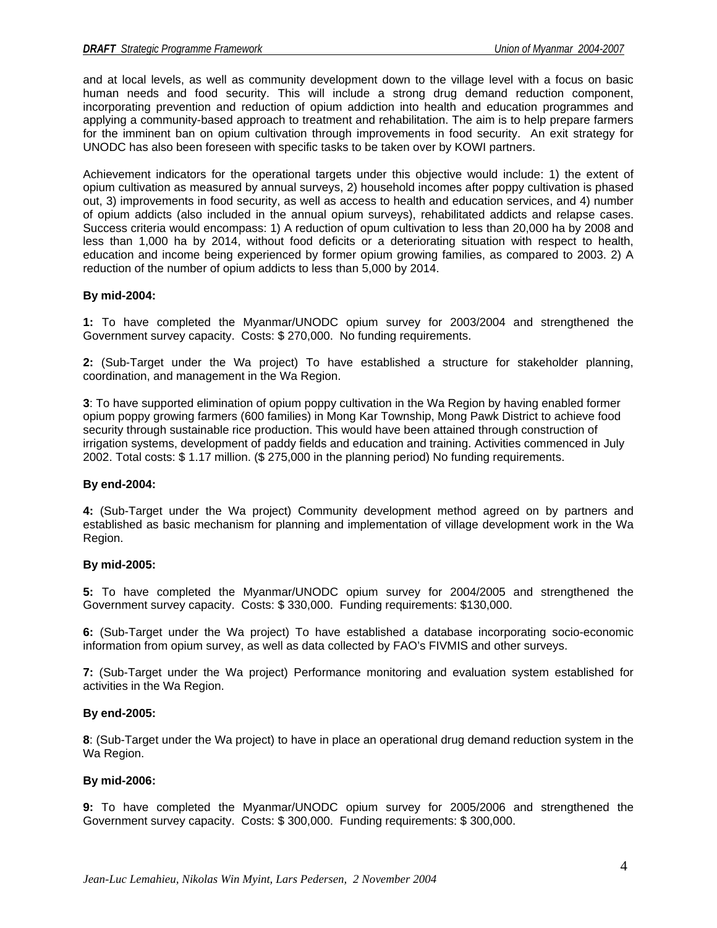and at local levels, as well as community development down to the village level with a focus on basic human needs and food security. This will include a strong drug demand reduction component, incorporating prevention and reduction of opium addiction into health and education programmes and applying a community-based approach to treatment and rehabilitation. The aim is to help prepare farmers for the imminent ban on opium cultivation through improvements in food security. An exit strategy for UNODC has also been foreseen with specific tasks to be taken over by KOWI partners.

Achievement indicators for the operational targets under this objective would include: 1) the extent of opium cultivation as measured by annual surveys, 2) household incomes after poppy cultivation is phased out, 3) improvements in food security, as well as access to health and education services, and 4) number of opium addicts (also included in the annual opium surveys), rehabilitated addicts and relapse cases. Success criteria would encompass: 1) A reduction of opum cultivation to less than 20,000 ha by 2008 and less than 1,000 ha by 2014, without food deficits or a deteriorating situation with respect to health, education and income being experienced by former opium growing families, as compared to 2003. 2) A reduction of the number of opium addicts to less than 5,000 by 2014.

#### **By mid-2004:**

**1:** To have completed the Myanmar/UNODC opium survey for 2003/2004 and strengthened the Government survey capacity. Costs: \$ 270,000. No funding requirements.

**2:** (Sub-Target under the Wa project) To have established a structure for stakeholder planning, coordination, and management in the Wa Region.

**3**: To have supported elimination of opium poppy cultivation in the Wa Region by having enabled former opium poppy growing farmers (600 families) in Mong Kar Township, Mong Pawk District to achieve food security through sustainable rice production. This would have been attained through construction of irrigation systems, development of paddy fields and education and training. Activities commenced in July 2002. Total costs: \$ 1.17 million. (\$ 275,000 in the planning period) No funding requirements.

#### **By end-2004:**

**4:** (Sub-Target under the Wa project) Community development method agreed on by partners and established as basic mechanism for planning and implementation of village development work in the Wa Region.

#### **By mid-2005:**

**5:** To have completed the Myanmar/UNODC opium survey for 2004/2005 and strengthened the Government survey capacity. Costs: \$ 330,000. Funding requirements: \$130,000.

**6:** (Sub-Target under the Wa project) To have established a database incorporating socio-economic information from opium survey, as well as data collected by FAO's FIVMIS and other surveys.

**7:** (Sub-Target under the Wa project) Performance monitoring and evaluation system established for activities in the Wa Region.

#### **By end-2005:**

**8**: (Sub-Target under the Wa project) to have in place an operational drug demand reduction system in the Wa Region.

#### **By mid-2006:**

**9:** To have completed the Myanmar/UNODC opium survey for 2005/2006 and strengthened the Government survey capacity. Costs: \$ 300,000. Funding requirements: \$ 300,000.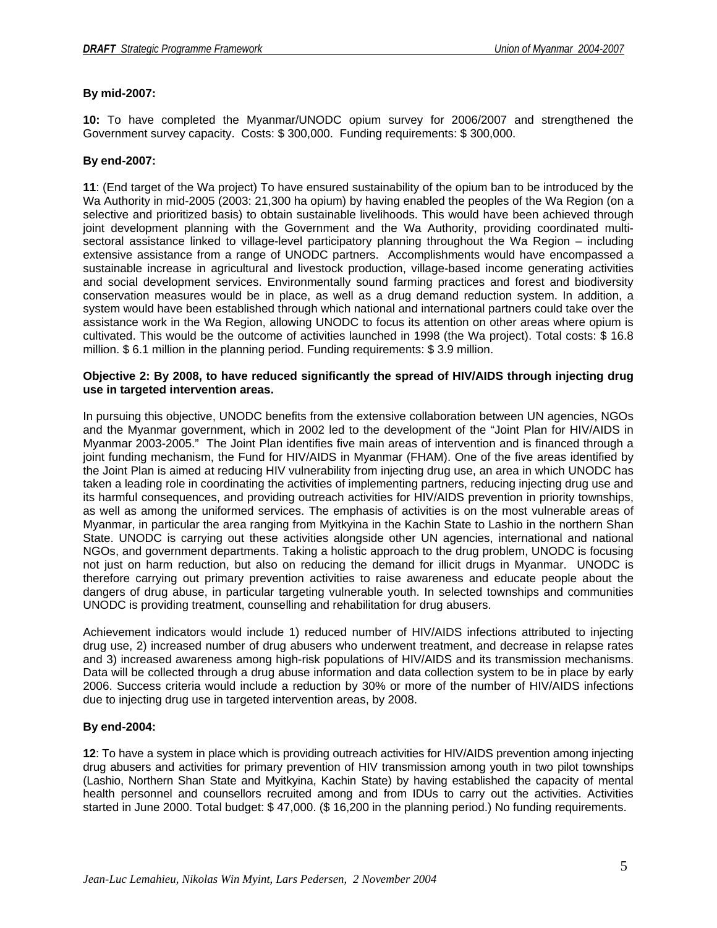## **By mid-2007:**

**10:** To have completed the Myanmar/UNODC opium survey for 2006/2007 and strengthened the Government survey capacity. Costs: \$ 300,000. Funding requirements: \$ 300,000.

#### **By end-2007:**

**11**: (End target of the Wa project) To have ensured sustainability of the opium ban to be introduced by the Wa Authority in mid-2005 (2003: 21,300 ha opium) by having enabled the peoples of the Wa Region (on a selective and prioritized basis) to obtain sustainable livelihoods. This would have been achieved through joint development planning with the Government and the Wa Authority, providing coordinated multisectoral assistance linked to village-level participatory planning throughout the Wa Region – including extensive assistance from a range of UNODC partners. Accomplishments would have encompassed a sustainable increase in agricultural and livestock production, village-based income generating activities and social development services. Environmentally sound farming practices and forest and biodiversity conservation measures would be in place, as well as a drug demand reduction system. In addition, a system would have been established through which national and international partners could take over the assistance work in the Wa Region, allowing UNODC to focus its attention on other areas where opium is cultivated. This would be the outcome of activities launched in 1998 (the Wa project). Total costs: \$ 16.8 million. \$ 6.1 million in the planning period. Funding requirements: \$ 3.9 million.

#### **Objective 2: By 2008, to have reduced significantly the spread of HIV/AIDS through injecting drug use in targeted intervention areas.**

In pursuing this objective, UNODC benefits from the extensive collaboration between UN agencies, NGOs and the Myanmar government, which in 2002 led to the development of the "Joint Plan for HIV/AIDS in Myanmar 2003-2005." The Joint Plan identifies five main areas of intervention and is financed through a joint funding mechanism, the Fund for HIV/AIDS in Myanmar (FHAM). One of the five areas identified by the Joint Plan is aimed at reducing HIV vulnerability from injecting drug use, an area in which UNODC has taken a leading role in coordinating the activities of implementing partners, reducing injecting drug use and its harmful consequences, and providing outreach activities for HIV/AIDS prevention in priority townships, as well as among the uniformed services. The emphasis of activities is on the most vulnerable areas of Myanmar, in particular the area ranging from Myitkyina in the Kachin State to Lashio in the northern Shan State. UNODC is carrying out these activities alongside other UN agencies, international and national NGOs, and government departments. Taking a holistic approach to the drug problem, UNODC is focusing not just on harm reduction, but also on reducing the demand for illicit drugs in Myanmar. UNODC is therefore carrying out primary prevention activities to raise awareness and educate people about the dangers of drug abuse, in particular targeting vulnerable youth. In selected townships and communities UNODC is providing treatment, counselling and rehabilitation for drug abusers.

Achievement indicators would include 1) reduced number of HIV/AIDS infections attributed to injecting drug use, 2) increased number of drug abusers who underwent treatment, and decrease in relapse rates and 3) increased awareness among high-risk populations of HIV/AIDS and its transmission mechanisms. Data will be collected through a drug abuse information and data collection system to be in place by early 2006. Success criteria would include a reduction by 30% or more of the number of HIV/AIDS infections due to injecting drug use in targeted intervention areas, by 2008.

## **By end-2004:**

**12**: To have a system in place which is providing outreach activities for HIV/AIDS prevention among injecting drug abusers and activities for primary prevention of HIV transmission among youth in two pilot townships (Lashio, Northern Shan State and Myitkyina, Kachin State) by having established the capacity of mental health personnel and counsellors recruited among and from IDUs to carry out the activities. Activities started in June 2000. Total budget: \$ 47,000. (\$ 16,200 in the planning period.) No funding requirements.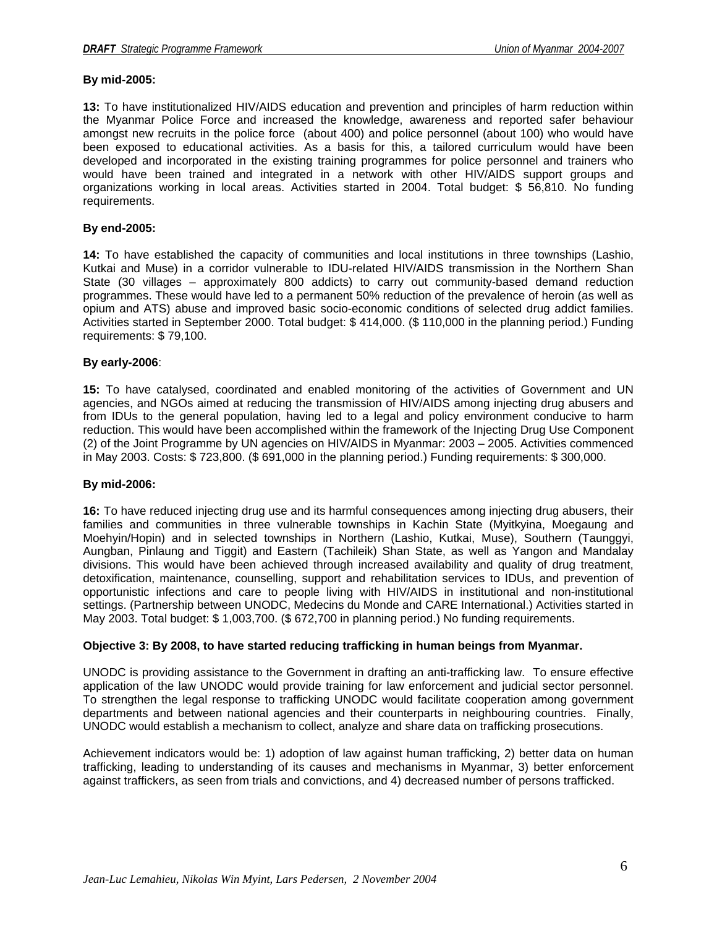# **By mid-2005:**

**13:** To have institutionalized HIV/AIDS education and prevention and principles of harm reduction within the Myanmar Police Force and increased the knowledge, awareness and reported safer behaviour amongst new recruits in the police force (about 400) and police personnel (about 100) who would have been exposed to educational activities. As a basis for this, a tailored curriculum would have been developed and incorporated in the existing training programmes for police personnel and trainers who would have been trained and integrated in a network with other HIV/AIDS support groups and organizations working in local areas. Activities started in 2004. Total budget: \$ 56,810. No funding requirements.

# **By end-2005:**

**14:** To have established the capacity of communities and local institutions in three townships (Lashio, Kutkai and Muse) in a corridor vulnerable to IDU-related HIV/AIDS transmission in the Northern Shan State (30 villages – approximately 800 addicts) to carry out community-based demand reduction programmes. These would have led to a permanent 50% reduction of the prevalence of heroin (as well as opium and ATS) abuse and improved basic socio-economic conditions of selected drug addict families. Activities started in September 2000. Total budget: \$ 414,000. (\$ 110,000 in the planning period.) Funding requirements: \$ 79,100.

## **By early-2006**:

**15:** To have catalysed, coordinated and enabled monitoring of the activities of Government and UN agencies, and NGOs aimed at reducing the transmission of HIV/AIDS among injecting drug abusers and from IDUs to the general population, having led to a legal and policy environment conducive to harm reduction. This would have been accomplished within the framework of the Injecting Drug Use Component (2) of the Joint Programme by UN agencies on HIV/AIDS in Myanmar: 2003 – 2005. Activities commenced in May 2003. Costs: \$ 723,800. (\$ 691,000 in the planning period.) Funding requirements: \$ 300,000.

## **By mid-2006:**

**16:** To have reduced injecting drug use and its harmful consequences among injecting drug abusers, their families and communities in three vulnerable townships in Kachin State (Myitkyina, Moegaung and Moehyin/Hopin) and in selected townships in Northern (Lashio, Kutkai, Muse), Southern (Taunggyi, Aungban, Pinlaung and Tiggit) and Eastern (Tachileik) Shan State, as well as Yangon and Mandalay divisions. This would have been achieved through increased availability and quality of drug treatment, detoxification, maintenance, counselling, support and rehabilitation services to IDUs, and prevention of opportunistic infections and care to people living with HIV/AIDS in institutional and non-institutional settings. (Partnership between UNODC, Medecins du Monde and CARE International.) Activities started in May 2003. Total budget: \$ 1,003,700. (\$ 672,700 in planning period.) No funding requirements.

## **Objective 3: By 2008, to have started reducing trafficking in human beings from Myanmar.**

UNODC is providing assistance to the Government in drafting an anti-trafficking law. To ensure effective application of the law UNODC would provide training for law enforcement and judicial sector personnel. To strengthen the legal response to trafficking UNODC would facilitate cooperation among government departments and between national agencies and their counterparts in neighbouring countries. Finally, UNODC would establish a mechanism to collect, analyze and share data on trafficking prosecutions.

Achievement indicators would be: 1) adoption of law against human trafficking, 2) better data on human trafficking, leading to understanding of its causes and mechanisms in Myanmar, 3) better enforcement against traffickers, as seen from trials and convictions, and 4) decreased number of persons trafficked.